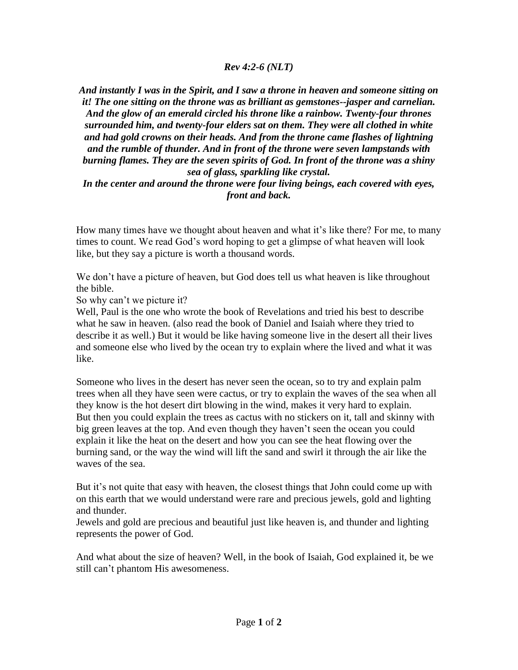## *Rev 4:2-6 (NLT)*

*And instantly I was in the Spirit, and I saw a throne in heaven and someone sitting on it! The one sitting on the throne was as brilliant as gemstones--jasper and carnelian. And the glow of an emerald circled his throne like a rainbow. Twenty-four thrones surrounded him, and twenty-four elders sat on them. They were all clothed in white and had gold crowns on their heads. And from the throne came flashes of lightning and the rumble of thunder. And in front of the throne were seven lampstands with burning flames. They are the seven spirits of God. In front of the throne was a shiny sea of glass, sparkling like crystal.*

## *In the center and around the throne were four living beings, each covered with eyes, front and back.*

How many times have we thought about heaven and what it's like there? For me, to many times to count. We read God's word hoping to get a glimpse of what heaven will look like, but they say a picture is worth a thousand words.

We don't have a picture of heaven, but God does tell us what heaven is like throughout the bible.

So why can't we picture it?

Well, Paul is the one who wrote the book of Revelations and tried his best to describe what he saw in heaven. (also read the book of Daniel and Isaiah where they tried to describe it as well.) But it would be like having someone live in the desert all their lives and someone else who lived by the ocean try to explain where the lived and what it was like.

Someone who lives in the desert has never seen the ocean, so to try and explain palm trees when all they have seen were cactus, or try to explain the waves of the sea when all they know is the hot desert dirt blowing in the wind, makes it very hard to explain. But then you could explain the trees as cactus with no stickers on it, tall and skinny with big green leaves at the top. And even though they haven't seen the ocean you could explain it like the heat on the desert and how you can see the heat flowing over the burning sand, or the way the wind will lift the sand and swirl it through the air like the waves of the sea.

But it's not quite that easy with heaven, the closest things that John could come up with on this earth that we would understand were rare and precious jewels, gold and lighting and thunder.

Jewels and gold are precious and beautiful just like heaven is, and thunder and lighting represents the power of God.

And what about the size of heaven? Well, in the book of Isaiah, God explained it, be we still can't phantom His awesomeness.